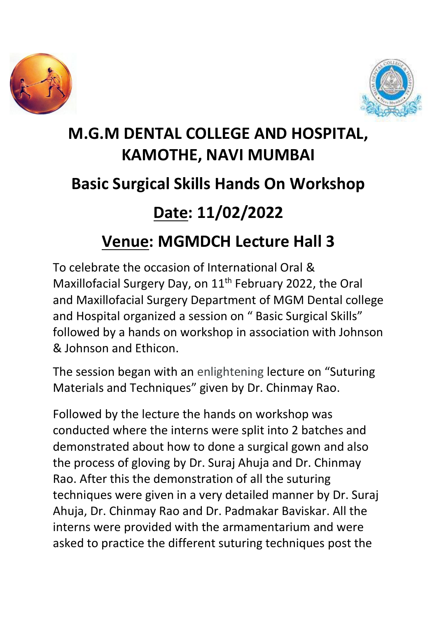



## **M.G.M DENTAL COLLEGE AND HOSPITAL, KAMOTHE, NAVI MUMBAI Basic Surgical Skills Hands On Workshop Date: 11/02/2022 Venue: MGMDCH Lecture Hall 3**

To celebrate the occasion of International Oral & Maxillofacial Surgery Day, on  $11<sup>th</sup>$  February 2022, the Oral and Maxillofacial Surgery Department of MGM Dental college and Hospital organized a session on " Basic Surgical Skills" followed by a hands on workshop in association with Johnson & Johnson and Ethicon.

The session began with an enlightening lecture on "Suturing Materials and Techniques" given by Dr. Chinmay Rao.

Followed by the lecture the hands on workshop was conducted where the interns were split into 2 batches and demonstrated about how to done a surgical gown and also the process of gloving by Dr. Suraj Ahuja and Dr. Chinmay Rao. After this the demonstration of all the suturing techniques were given in a very detailed manner by Dr. Suraj Ahuja, Dr. Chinmay Rao and Dr. Padmakar Baviskar. All the interns were provided with the armamentarium and were asked to practice the different suturing techniques post the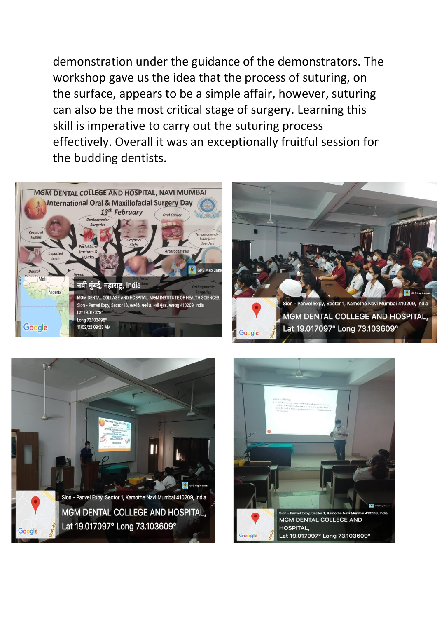demonstration under the guidance of the demonstrators. The workshop gave us the idea that the process of suturing, on the surface, appears to be a simple affair, however, suturing can also be the most critical stage of surgery. Learning this skill is imperative to carry out the suturing process effectively. Overall it was an exceptionally fruitful session for the budding dentists.